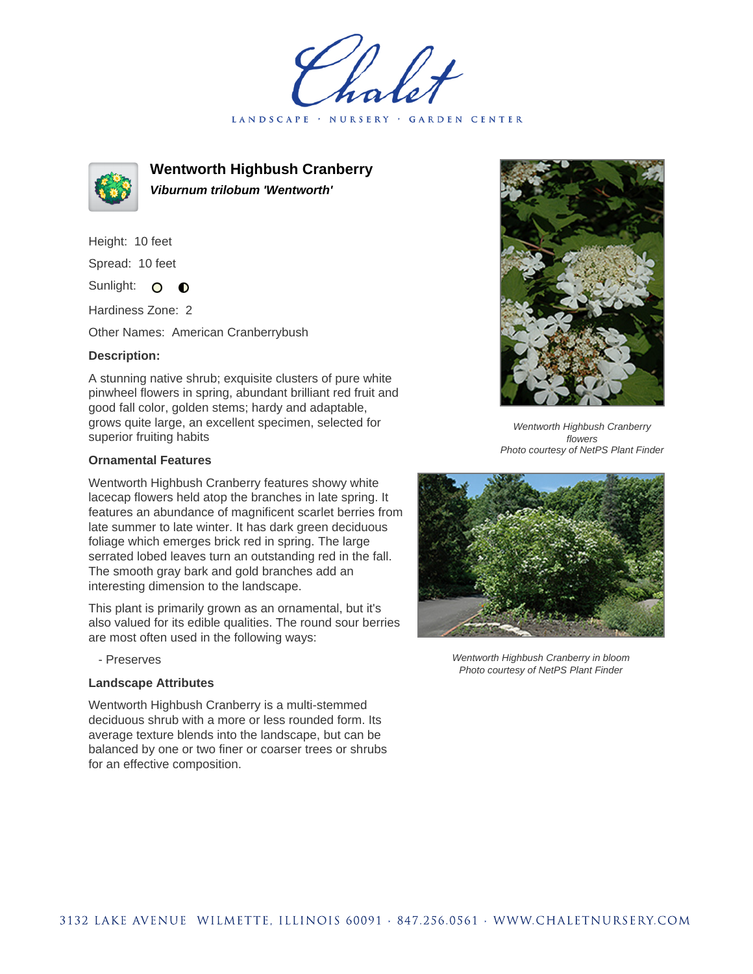LANDSCAPE · GARDEN CENTER



**Wentworth Highbush Cranberry Viburnum trilobum 'Wentworth'**

Height: 10 feet Spread: 10 feet Sunlight: O  $\bullet$ 

Hardiness Zone: 2

Other Names: American Cranberrybush

## **Description:**

A stunning native shrub; exquisite clusters of pure white pinwheel flowers in spring, abundant brilliant red fruit and good fall color, golden stems; hardy and adaptable, grows quite large, an excellent specimen, selected for superior fruiting habits

## **Ornamental Features**

Wentworth Highbush Cranberry features showy white lacecap flowers held atop the branches in late spring. It features an abundance of magnificent scarlet berries from late summer to late winter. It has dark green deciduous foliage which emerges brick red in spring. The large serrated lobed leaves turn an outstanding red in the fall. The smooth gray bark and gold branches add an interesting dimension to the landscape.

This plant is primarily grown as an ornamental, but it's also valued for its edible qualities. The round sour berries are most often used in the following ways:

- Preserves

## **Landscape Attributes**

Wentworth Highbush Cranberry is a multi-stemmed deciduous shrub with a more or less rounded form. Its average texture blends into the landscape, but can be balanced by one or two finer or coarser trees or shrubs for an effective composition.



Wentworth Highbush Cranberry flowers Photo courtesy of NetPS Plant Finder



Wentworth Highbush Cranberry in bloom Photo courtesy of NetPS Plant Finder